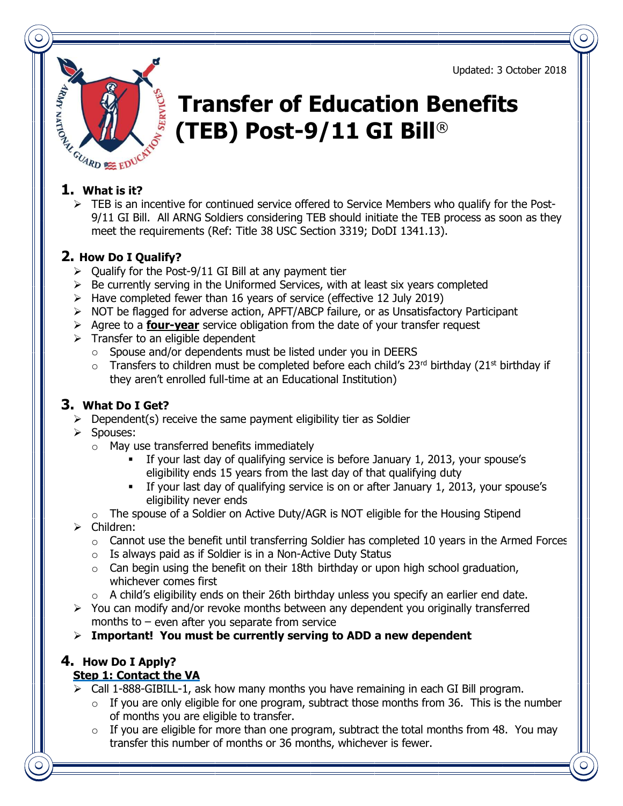Updated: 3 October 2018



# Transfer of Education Benefits (TEB) Post-9/11 GI Bill®

 $\triangleright$  TEB is an incentive for continued service offered to Service Members who qualify for the Post-9/11 GI Bill. All ARNG Soldiers considering TEB should initiate the TEB process as soon as they meet the requirements (Ref: Title 38 USC Section 3319; DoDI 1341.13).

### 2. How Do I Qualify?

- $\geq$  Oualify for the Post-9/11 GI Bill at any payment tier
- $\triangleright$  Be currently serving in the Uniformed Services, with at least six years completed
- $\triangleright$  Have completed fewer than 16 years of service (effective 12 July 2019)
- $\triangleright$  NOT be flagged for adverse action, APFT/ABCP failure, or as Unsatisfactory Participant
- $\triangleright$  Agree to a **four-year** service obligation from the date of your transfer request
- $\triangleright$  Transfer to an eligible dependent
	- o Spouse and/or dependents must be listed under you in DEERS
	- $\circ$  Transfers to children must be completed before each child's 23<sup>rd</sup> birthday (21<sup>st</sup> birthday if they aren't enrolled full-time at an Educational Institution)

#### 3. What Do I Get?

- $\triangleright$  Dependent(s) receive the same payment eligibility tier as Soldier
- Spouses:
	- o May use transferred benefits immediately
		- If your last day of qualifying service is before January 1, 2013, your spouse's eligibility ends 15 years from the last day of that qualifying duty
		- If your last day of qualifying service is on or after January 1, 2013, your spouse's eligibility never ends
	- $\circ$  The spouse of a Soldier on Active Duty/AGR is NOT eligible for the Housing Stipend
- $\triangleright$  Children:
	- $\circ$  Cannot use the benefit until transferring Soldier has completed 10 years in the Armed Forces
	- o Is always paid as if Soldier is in a Non-Active Duty Status
	- $\circ$  Can begin using the benefit on their 18th birthday or upon high school graduation, whichever comes first
	- $\circ$  A child's eligibility ends on their 26th birthday unless you specify an earlier end date.
- $\triangleright$  You can modify and/or revoke months between any dependent you originally transferred months to  $-$  even after you separate from service
- $\triangleright$  Important! You must be currently serving to ADD a new dependent

#### 4. How Do I Apply? Step 1: Contact the VA

- Call 1-888-GIBILL-1, ask how many months you have remaining in each GI Bill program.
	- $\circ$  If you are only eligible for one program, subtract those months from 36. This is the number of months you are eligible to transfer.
	- $\circ$  If you are eligible for more than one program, subtract the total months from 48. You may transfer this number of months or 36 months, whichever is fewer.